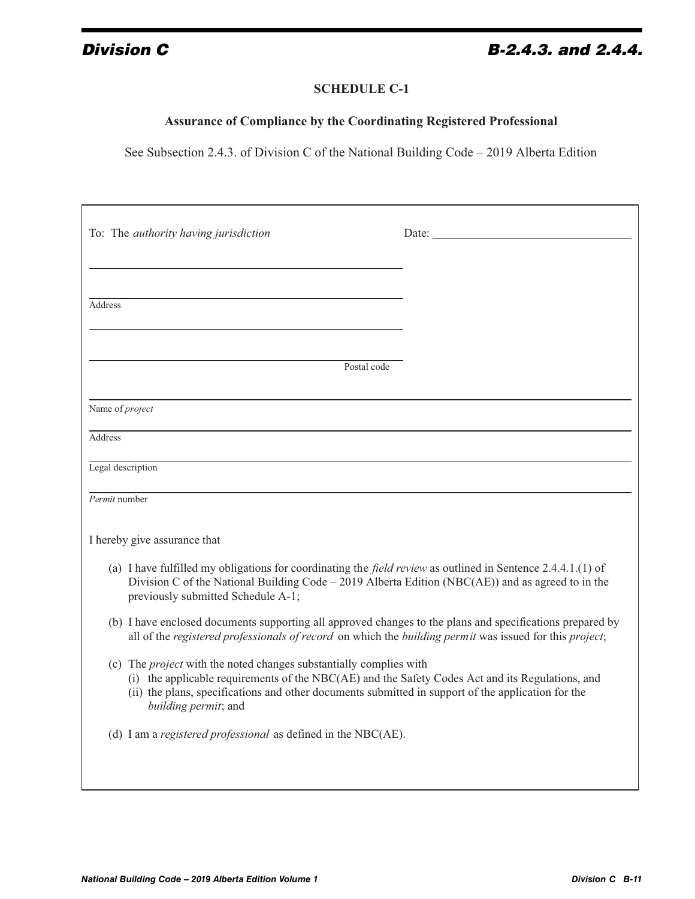## **Division C B-2.4.3. and 2.4.4.**

## **SCHEDULE C-1**

## **Assurance of Compliance by the Coordinating Registered Professional**

See Subsection 2.4.3. of Division C of the National Building Code – 2019 Alberta Edition

| To: The <i>authority having jurisdiction</i>                                                                                                                                                                                                                                                                |  |
|-------------------------------------------------------------------------------------------------------------------------------------------------------------------------------------------------------------------------------------------------------------------------------------------------------------|--|
| Address<br>Postal code                                                                                                                                                                                                                                                                                      |  |
| Name of <i>project</i>                                                                                                                                                                                                                                                                                      |  |
| Address                                                                                                                                                                                                                                                                                                     |  |
| Legal description                                                                                                                                                                                                                                                                                           |  |
| Permit number                                                                                                                                                                                                                                                                                               |  |
| I hereby give assurance that                                                                                                                                                                                                                                                                                |  |
| (a) I have fulfilled my obligations for coordinating the <i>field review</i> as outlined in Sentence 2.4.4.1.(1) of<br>Division C of the National Building Code - 2019 Alberta Edition (NBC(AE)) and as agreed to in the<br>previously submitted Schedule A-1;                                              |  |
| (b) I have enclosed documents supporting all approved changes to the plans and specifications prepared by<br>all of the registered professionals of record on which the building permit was issued for this project;                                                                                        |  |
| (c) The <i>project</i> with the noted changes substantially complies with<br>(i) the applicable requirements of the NBC(AE) and the Safety Codes Act and its Regulations, and<br>(ii) the plans, specifications and other documents submitted in support of the application for the<br>building permit; and |  |
| (d) I am a registered professional as defined in the NBC(AE).                                                                                                                                                                                                                                               |  |